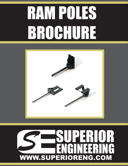# RAM POLES BROCHURE



## *S* SUPERIOR ENGINEERING WWW.SUPERIORENG.COM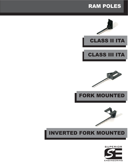

## INVERTED FORK MOUNTED











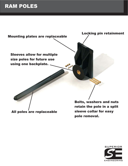## RAM POLES



All poles are replaceable

Bolts, washers and nuts retain the pole in a split sleeve collar for easy pole removal.

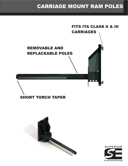## CARRIAGE MOUNT RAM POLES

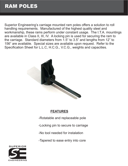## RAM POLES

Superior Engineering's carriage mounted ram poles offers a solution to roll handling requirements. Manufactured of the highest quality steel and workmanship, these rams perform under constant usage. The I.T.A. mountings are available in Class II, III, IV. A locking pin is used for securing the ram to the carriage. Standard diameters from 1.5" to 3.5" and lengths from 12" to 156" are available. Special sizes are available upon request. Refer to the Specification Sheet for L.L.C, H.C.G., V.C.G., weights and capacities.



#### **FEATURES**

-Rotatable and replaceable pole

-Locking pin to secure to carriage

-No tool needed for instalation

-Tapered to ease entry into core

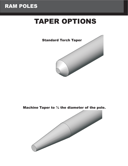## RAM POLES

## TAPER OPTIONS



Machine Taper to ½ the diameter of the pole.

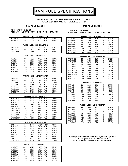RAM POLE SPECIFICATIONS

#### **ALL POLES UP TO 3" IN DIAMETER HAVE LLC OF 6.5" POLES 3.5" IN DIAMETER HAVE LLC OF 7.5"**

#### **RAM POLE CLASS II**

RP3.5120A 120" 490# 48.5" 7.1" 3810#<br>RP3.5144A 144" 558# 59.8" 7.0" 3175#

RP3.5144A

#### **RAM POLE CLASS III**

| <b>COMPLETE ASSEMBLIES</b>                                 |            |                                    |                |              |                 |                             | <b>COMPLETE ASSEMBLIES</b> |                                             |              |                              |              |                                                    |
|------------------------------------------------------------|------------|------------------------------------|----------------|--------------|-----------------|-----------------------------|----------------------------|---------------------------------------------|--------------|------------------------------|--------------|----------------------------------------------------|
| <b>MODEL NO.</b>                                           | LENGTH WGT |                                    | <b>HCG</b>     | <b>VCG</b>   | <b>CAPACITY</b> |                             | <b>MODEL NO.</b>           | LENGTH WGT                                  |              | <b>HCG</b>                   | <b>VCG</b>   | <b>CAPACITY</b>                                    |
| RAM POLES 1 - 1/2" DIAMETER<br>RAM POLES 2 - 1/2" DIAMETER |            |                                    |                |              |                 |                             |                            |                                             |              |                              |              |                                                    |
| RP1.548A                                                   | 48"        | 166#                               | 6.0"           | 9.3"         | 550#            |                             | RP2.548B                   | 48"                                         | 230#         | 10.6"                        | 9.9"         | 4050#                                              |
| RP1.560A                                                   | 60"        | 172#                               | 8.0"           | 9.2"         | 500#            |                             | RP2.560B                   | 60"                                         | 246#         | 14.2"                        | 9.6"         | 3240#                                              |
|                                                            |            |                                    |                |              |                 |                             | RP2.572B                   | 72"                                         | 263#         | 18.1"                        | 9.4"         | 2700#                                              |
|                                                            |            | RAM POLES 1 -3/4" DIAMETER         |                |              |                 |                             | RP2.584B                   | 84"                                         | 279#         | 21.9"                        | 9.2"         | 2370#                                              |
| RP1.7548A                                                  | 48"        | 176#                               | 7.3"           | 9.1"         | 675#            |                             | RP2.596B                   | 96"                                         | 296#         | 26.6"                        | 9.0"         | 2025#                                              |
| RP1.7560A                                                  | 60"        | 184#                               | 9.6"           | 8.9"         | 540#            |                             | RP2.5108B                  | 108"                                        | 313#         | 31.1"                        | 8.0"         | 1800#                                              |
| RP1.7572A                                                  | 72"        | 192#                               | 12.5"          | 8.8"         | 450#            |                             | RP2.5120B                  | 120"                                        | 330#         | 35.8"                        | 8.7"         | 1620#                                              |
|                                                            |            |                                    |                |              |                 |                             | RP2.5144B                  | 144"                                        | 363#         | 45.5"                        | 8.5"         | 1350#                                              |
| <b>RAM POLES 2" DIAMETER</b>                               |            |                                    |                |              |                 | RAM POLES 2 - 3/4" DIAMETER |                            |                                             |              |                              |              |                                                    |
| RP2.48A                                                    | 48"        | 183#                               | 9.0"           | 9.0          | 1350#           |                             | RP2.7548B                  | 48"                                         | 245#         | 11.9"                        | 9.7"         | 5400#                                              |
| RP2.60A                                                    | 60         | 193#                               | 11.8"          | 8.8"         | 1080#           |                             | RP2.7560B                  | 60"                                         | 265#         | 15.8"                        | 9.4"         | 4320#                                              |
| RP2.72A                                                    | 72"        | 200#                               | 15.3"          | 8.6"         | 900#            |                             | RP2.7572B                  | 72"                                         | 287#         | 19.9"                        | 9.1"         | 3600#                                              |
| RP2.84A                                                    | 84"<br>96" | 219#                               | 17.7"<br>22.2" | 8.5"<br>8.4" | 790#            |                             | RP2.7584B                  | 84"                                         | 305#         | 24.0"                        | 9.0"         | 3160#                                              |
| <b>RP2.96A</b><br>RP2.108                                  | 108"       | 229#<br>240#                       | 26.2"          | 8.3"         | 675#<br>600#    |                             | RP2.7596B                  | 96"                                         | 325#         | 29.2"                        | 8.8"         | 3160#                                              |
| RP2.120A                                                   | 120"       | 250#                               | 30.4"          | 8.2"         | 540#            |                             | RP2.75108B                 | 108"                                        | 345#         | 34.0"                        | 8.6"         | 2700#                                              |
| RP2.144A                                                   | 144"       | 272#                               | 39.0"          | 8.0"         | 450#            |                             | RP2.75120B                 | 120"                                        | 366#         | 38.9"                        | 8.5"         | 2508#                                              |
|                                                            |            |                                    |                |              |                 |                             | RP2.75126B                 | 126"                                        | 376#         | 41.4"                        | 8.4"         | 2200#                                              |
|                                                            |            | <b>RAM POLES 2 - 1/2" DIAMETER</b> |                |              |                 |                             | RP2.75144B                 | 144"                                        | 416#         | 48.0"                        | 8.0"         | 1800#                                              |
|                                                            |            |                                    |                |              |                 |                             | RP2.75156B                 | 156"                                        | 426#         | 54.3"                        | 8.1"         | 1650#                                              |
| RP2.548A                                                   | 48"        | 213#                               | 11.4"          | 8.5"         | 4050#           |                             | RP2.75168B                 | 168"                                        | 446#         | 59.6"                        | 8.0"         | 1550#                                              |
| RP2.560A                                                   | 60"        | 229#                               | 15.2"          | 8.4"         | 3240#           |                             |                            |                                             |              |                              |              |                                                    |
| RP2.572A<br>RP2.584A                                       | 72"<br>84" | 246#<br>262#                       | 19.3"<br>22.7" | 8.2"<br>8.1" | 2700#<br>2370#  |                             |                            |                                             |              | <b>RAM POLES 3" DIAMETER</b> |              |                                                    |
| RP2.596A                                                   | 96"        | 279#                               | 28.2"          | $8.0"$       | 2025#           |                             | RP3.48B                    | 48"                                         | 261#         | 13.0"                        | 9.5"         | 7050#                                              |
| RP2.5108A                                                  | 108"       | 296#                               | 32.9"          | 7.8"         | 1800#           |                             | RP3.60B                    | 60"                                         | 285#         | 17.4"                        | 9.2"         | 5640#                                              |
| RP2.5120A                                                  | 120"       | 313#                               | 37.6"          | 7.8"         | 1620#           |                             | RP3.72B                    | 72"                                         | 309#         | 22.0"                        | 8.9"         | 4675#                                              |
| RP2.5144A                                                  | 144"       | 346#                               | 47.7"          | 7.6"         | 1350#           |                             | RP3.84B                    | 84"                                         | 333#         | 26.0"                        | 8.7'         | 4126#                                              |
|                                                            |            |                                    |                |              |                 |                             | RP3.96B                    | 96"                                         | 357#         | 32.0"                        | 8.5"         | 3525#                                              |
|                                                            |            | <b>RAM POLE 2 3/4: DIAMETER</b>    |                |              |                 |                             | RP3.108B                   | 108"                                        | 381#         | 37.0"                        | 8.4"         | 3116#                                              |
| RP2.7548A                                                  | 48"        |                                    | 12.9"          | 8.4"         | 5400#           |                             | RP3.120B<br>RP3.144B       | 120"<br>144"                                | 405#<br>453# | 42.0"<br>52.3"               | 8.2"<br>8.0" | 2820#<br>2350#                                     |
| RP2.7560A                                                  | 60"        | 228#<br>248#                       | 16.8"          | 8.2          | 4320#           |                             | RP3.156B                   | 156"                                        | 476#         | 57.8"                        | 8.0"         | 2169#                                              |
| RP2.7572A                                                  | 72"        | 270#                               | 21.3"          | 8.0"         | 3600#           |                             |                            |                                             |              |                              |              |                                                    |
| RP2.7584A                                                  | 84"        | 288#                               | 26.9"          | 7.9"         | 3160#           |                             |                            |                                             |              | RAM POLES 3 - 1/2" DIAMETER  |              |                                                    |
| RP2.7596A                                                  | 96"        | 308#                               | 30.7"          | 8.0"         | 2700#           |                             |                            |                                             |              |                              |              |                                                    |
| RP2.75108A                                                 | 108"       | 328#                               | 35.7"          | 7.7"         | 2508#           |                             | RP3.548B                   | 48"                                         | 304#         | 15.7"                        | 9.0"         | 9525#                                              |
| RP2.75120A                                                 | 120"       | 349#                               | 40.7"          | 7.6"         | 2200#           |                             | RP3.560B<br>RP3.572B       | 60"                                         | 338#         | 20.5"                        | 8.6"         | 7620#<br>6350#                                     |
| RP2.75126A                                                 | 126"       | 359#                               | 43.3"          | 7.5"         | 2150#           |                             | RP3.584B                   | 72"<br>84"                                  | 372#<br>405# | 25.5"<br>30.0"               | 8.4"<br>8.2" | 5442#                                              |
| RP2.75144A                                                 | 144"       | 389#                               | 51.2"          | 7.4"         | 1800#           |                             | RP3.596B                   | 96"                                         | 439#         | 36.0"                        | 8.0"         | 4762#                                              |
| RP2.75156A                                                 | 156"       | 409#                               | 56.0"          | 7.4"         | 1650#           |                             | RP3.5108B                  | 108"                                        | 473#         | 41.4"                        | 7.9"         | 4233#                                              |
| RP2.75168A                                                 | 168"       | 429#                               | 62.0"          | 7.3"         | 1550#           |                             | RP3.5120B                  | 120"                                        | 507#         | 47.0"                        | 7.8"         | 3810#                                              |
|                                                            |            |                                    |                |              |                 |                             | RP3.5144B                  | 144"                                        | 575#         | 58.0"                        | 7.6"         | 3175#                                              |
|                                                            |            | <b>RAM POLES 3" DIAMETER</b>       |                |              |                 |                             | RP3.5156B                  | 156"                                        | 604#         | 64.0"                        | 7.2"         | 2930#                                              |
| RP3.48A                                                    | 48"        | 244#                               | 14.0"          | 8.3"         | 7050#           |                             |                            |                                             |              |                              |              |                                                    |
| RP3.60A<br>RP3.72A                                         | 60"<br>72" | 268#<br>292#                       | 18.0"<br>23.0" | 8.0"<br>7.9" | 5640#<br>4675#  |                             |                            |                                             |              |                              |              |                                                    |
| RP3.84A                                                    | 84"        | 316#                               | 27.5"          | 7.7"         | 4126#           |                             |                            |                                             |              |                              |              |                                                    |
| RP3.96A                                                    | 96"        | 340#                               | 33.0"          | 7.6"         | 3525#           |                             |                            |                                             |              |                              |              |                                                    |
| RP3. 108A                                                  | 108"       | 364#                               | 37.3           | 7.5"         | 3116#           |                             |                            |                                             |              |                              |              |                                                    |
| RP3. 120A                                                  | 120"       | 388#                               | 43.5"          | 7.4"         | 2820#           |                             |                            |                                             |              |                              |              | SUPERIOR ENGINEERING, PO BOX 547, BELTON, SC 29627 |
| RP3. 144A                                                  | 144"       | 436#                               | 54.4"          | 7.3"         | 2350#           |                             |                            | TEL (864) 226-8799 OR 1-800-359-3052        |              |                              |              |                                                    |
| RP3. 156A                                                  | 156"       | 460#                               | 58.8"          | 7.2"         | 2169#           |                             |                            | <b>WEBSITE ADDRESS: WWW.SUPERIORENG.COM</b> |              |                              |              |                                                    |
| RAM POLES 3 - 1/2" DIAMETER                                |            |                                    |                |              |                 |                             |                            |                                             |              |                              |              |                                                    |
| RP3.548A                                                   | 48"        | 287#                               | 15.6"          | 7.9"         | 9525#           |                             |                            |                                             |              |                              |              |                                                    |
| RP3.560A                                                   | 60"        | 321#                               | 20.6"          | 7.7"         | 7620#           |                             |                            |                                             |              |                              |              |                                                    |
| RP3.572A                                                   | 72"        | 355#                               | 25.7"          | 7.7"         | 6350#           |                             |                            |                                             |              |                              |              |                                                    |
| RP3.584A                                                   | 84"        | 388#                               | 30.8"          | 7.8"         | 5442#           |                             |                            |                                             |              |                              |              |                                                    |
| RP3.596A                                                   | 96"        | 422#                               | 36.4"          | 7.3"         | 4762#           |                             |                            |                                             |              |                              |              |                                                    |
| RP3.5108A                                                  | 108"       | 456#                               | 42.0"          | 7.2"         | 4233#           |                             |                            |                                             |              |                              |              |                                                    |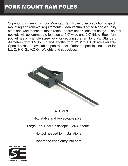Superior Engineering's Fork Mounted Ram Poles offer a solution to quick mounting and removal requirements. Manufactured of the highest quality steel and workmanship, these rams perform under constant usage. The fork pockets will accommodate forks up to 5.0" wide and 2.0" thick. Each fork pocket has a T-handle screw lock for securing the ram to forks. Standard diameters from 1.5" to 3.5" and lengths from 12.0" to 156.0" are available. Special sizes are available upon request. Refer to specification sheet for L.L.C, H.C.G., V.C.G., Weights and capacities.



#### **FEATURES**

-Rotatable and replaceable pole

-Large Fork Pockets accepts 2.35 x 7 forks

-No tool needed for installations

-Tapered to ease entry into core

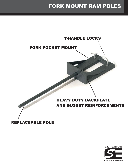## FORK MOUNT RAM POLES

#### T-HANDLE LOCKS

#### FORK POCKET MOUNT

#### HEAVY DUTY BACKPLATE AND GUSSET REINFORCEMENTS

#### REPLACEABLE POLE

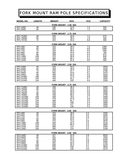### FORK MOUNT RAM POLE SPECIFICATIONS

| <b>MODEL NO.</b>                 | <b>LENGTH</b> | <b>WEIGHT</b>                         | <b>HCG</b>            | <b>VCG</b>              | <b>CAPACITY</b> |  |  |  |  |
|----------------------------------|---------------|---------------------------------------|-----------------------|-------------------------|-----------------|--|--|--|--|
| FORK MOUNT - 1.50 DIA            |               |                                       |                       |                         |                 |  |  |  |  |
| RP1.548D<br>RP1.560D             | 48<br>60      | 296<br>302                            | 22.9<br>26.2          | 7.3<br>7.2              | 550<br>440      |  |  |  |  |
| FORK MOUNT - 1.75 DIA            |               |                                       |                       |                         |                 |  |  |  |  |
| RP1.7548D                        | 48            | 306                                   | 34.8                  | 7.2                     | 675             |  |  |  |  |
| RP1.7560D<br>RP1.7572D           | 60<br>72      | 314<br>322                            | 39.3<br>44.3          | 7.9<br>6.8              | 540<br>450      |  |  |  |  |
| FORK MOUNT - 2.00 DIA            |               |                                       |                       |                         |                 |  |  |  |  |
| <b>RP2.48D</b><br><b>RP2.60D</b> | 48            | $\overline{313}$<br>323               | 28.3<br>33.2          | 7.0                     | 1350            |  |  |  |  |
| RP2.72D                          | 60<br>72      | 334                                   | 39.3                  | 6.8<br>9.0              | 1080<br>900     |  |  |  |  |
| <b>RP2.84D</b>                   | 84<br>96      | 348<br>359                            | 43.9<br>51.6          | 6.5                     | 790             |  |  |  |  |
| <b>RP2.96D</b><br>RP2.108D       | 108           | 370                                   | 58.8                  | 6.4<br>6.3              | 675<br>600      |  |  |  |  |
| RP2.120D<br>RP2.144D             | 120<br>144    | 380<br>402                            | 66.2<br>81.6          | 6.2<br>6.0              | 540<br>450      |  |  |  |  |
|                                  |               |                                       | FORK MOUNT - 2.50 DIA |                         |                 |  |  |  |  |
| RP2.548D                         | 48            | 343                                   | 33.4                  | 6.5                     | 4050            |  |  |  |  |
| RP2.560D<br>RP2.572D             | 60<br>72      | 359<br>376                            | 39.9<br>47.7          | 6.4<br>6.2              | 3240<br>2700    |  |  |  |  |
| RP2.584D                         | 84            | 392                                   | 53.9                  | 6.1                     | 2370            |  |  |  |  |
| RP2.596D                         | 96            | 409                                   | 62.8                  | 6.0                     | 2025            |  |  |  |  |
| RP2.5108D<br>RP2.5120D           | 108<br>120    | 426<br>443                            | 72.5<br>81.2          | 6.8<br>6.7              | 1800<br>1620    |  |  |  |  |
| RP2.5144D                        | 144           | 446                                   | 103                   | 6.6                     | 1350            |  |  |  |  |
| FORK MOUNT - 2.75 DIA            |               |                                       |                       |                         |                 |  |  |  |  |
| RP2.7548D<br>RP2.7560D           | 48<br>60      | 358<br>378                            | 36.4<br>43.6          | 6.4<br>6.2              | 5400<br>4320    |  |  |  |  |
| RP2.7572D                        | 72            | 400                                   | 56.9                  |                         | 3600            |  |  |  |  |
| RP2.7584D<br>RP2.7596D           | 84<br>96      | 418<br>438                            | 62.0<br>69.2          | $6.0$<br>$5.9$<br>$5.8$ | 3160<br>2700    |  |  |  |  |
| RP2.75108D                       | 108           | 458                                   | 78.5                  | 5.7<br>5.6              | 2508            |  |  |  |  |
| RP2.75120D                       | 120           | 479<br>489                            | 87.9                  | 5.5                     | 2200<br>2150    |  |  |  |  |
| RP2.75126D<br>RP2.75144D         | 126<br>144    | 519                                   | 92.7<br>108           | 5.4                     | 1800            |  |  |  |  |
| RP2.75156D<br>RP2.75168D         | 156<br>168    | 538<br>559                            | 117<br>128            | 5.4<br>5.3              | 1650<br>1550    |  |  |  |  |
|                                  |               |                                       |                       |                         |                 |  |  |  |  |
| RP3.48D                          | 48            | FORK MOUNT - 3.00<br>$\overline{374}$ | DIA<br>38.8           | 6.3                     | 7050            |  |  |  |  |
| <b>RP3.60D</b>                   | 60            | 398                                   | 46.3                  | 6.0                     | 5640            |  |  |  |  |
| RP3.72D<br>RP3.84D               | 72<br>84      | 422<br>446                            | 55.6<br>64.0          | 5.9<br>5.7              | 4675<br>4126    |  |  |  |  |
| RP3.96D                          | 96            | 470                                   | 74.3                  | 5.6                     | 3525            |  |  |  |  |
| RP3.108D<br>RP3.120D             | 108<br>120    | 494<br>518                            | 82.5<br>94.0          | 5.5<br>5.4              | 3116            |  |  |  |  |
| RP3.144D                         | 144           | 565                                   | 114                   | 5.3                     | 2820<br>2350    |  |  |  |  |
| RP3.156D                         | 156           | 590                                   | 124                   | 5.2                     | 2169            |  |  |  |  |
| FORK MOUNT - 3.50 DIA            |               |                                       |                       |                         |                 |  |  |  |  |
| RP3.548D<br>RP3.560D             | 48<br>60      | 417<br>451                            | 42.9<br>52.4          | 5.9<br>5.7              | 9525<br>7620    |  |  |  |  |
| RP3.572D                         | 72            | 485                                   | 62.0                  | 5.5                     | 6350            |  |  |  |  |
| RP3.584D<br>RP3.596D             | 84<br>96      | 518<br>552                            | 71.9<br>82.6          | 5.8<br>5.3              | 5442<br>4762    |  |  |  |  |
| RP3.5108D                        | 108           | 586                                   | 93.4                  | 5.2                     | 4233            |  |  |  |  |
| RP3.5120D<br>RP3.5144D           | 120<br>144    | 620<br>688                            | 106<br>128            | 5.1<br>5.0              | 3810<br>3175    |  |  |  |  |
|                                  |               |                                       |                       |                         |                 |  |  |  |  |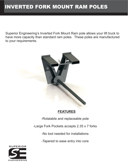## INVERTED FORK MOUNT RAM POLES

Superior Engineering's Inverted Fork Mount Ram pole allows your lift truck to have more capacity than standard ram poles. These poles are manufactured to your requirements.



#### **FEATURES**

-Rotatable and replaceable pole

-Large Fork Pockets accepts 2.35 x 7 forks

-No tool needed for installations

-Tapered to ease entry into core

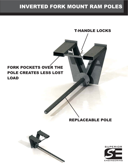## INVERTED FORK MOUNT RAM POLES

#### FORK POCKETS OVER THE POLE CREATES LESS LOST LOAD

#### REPLACEABLE POLE

T-HANDLE LOCKS



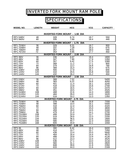## INVERTED FORK MOUNT RAM POLE

## **SPECIFICATIONS**

| <b>MODEL NO.</b>                                | <b>LENGTH</b> | <b>WEIGHT</b>                            | <b>HCG</b>   | <b>VCG</b>         | <b>CAPACITY</b> |  |  |  |  |
|-------------------------------------------------|---------------|------------------------------------------|--------------|--------------------|-----------------|--|--|--|--|
| <b>INVERTED FORK MOUNT - 1.50 DIA</b>           |               |                                          |              |                    |                 |  |  |  |  |
| <b>RP1.548IV</b><br>RP1.560IV                   | 48<br>60      | 328<br>335                               | 6.74<br>7.69 | 18.7<br>18.4       | 550<br>440      |  |  |  |  |
| <b>INVERTED FORK MOUNT - 1.75</b><br>DIA        |               |                                          |              |                    |                 |  |  |  |  |
| RP1.7536IV                                      | 36            | 329                                      | 6.31         | 18.7               | 900             |  |  |  |  |
| <b>RP1.7548IV</b><br>RP1.7560IV                 | 48<br>60      | 337<br>357                               | 7.28<br>8.51 | 18.3<br>18.0       | 675<br>540      |  |  |  |  |
| RP1.7572IV                                      | 72            | 353                                      | 9.95         | 17.7               | 450             |  |  |  |  |
| <b>INVERTED FORK MOUNT - 2.00 DIA</b>           |               |                                          |              |                    |                 |  |  |  |  |
| <b>RP2.36IV</b><br><b>RP2.48IV</b>              | 36<br>48      | 336<br>347                               | 6.67<br>7.90 | 18.4<br>17.9       | 1800<br>1350    |  |  |  |  |
| <b>RP2.60IV</b>                                 | 60            | 357                                      | 9.42         | 17.5               | 1080            |  |  |  |  |
| <b>RP2.72IV</b>                                 | 72            | 368                                      | 11.2         | 17.1               | 900             |  |  |  |  |
| <b>RP2.84IV</b><br><b>RP2.96IV</b>              | 84<br>96      | 379<br>389                               | 13.2<br>15.4 | 16.8<br>16.4       | 790<br>675      |  |  |  |  |
| <b>RP2.108IV</b>                                | 108           | 400                                      | 17.9         | 16.1               | 600             |  |  |  |  |
| <b>RP2.120IV</b>                                | 120           | 410                                      | 20.5         | 15.8               | 540             |  |  |  |  |
| <b>RP2.144IV</b>                                | 144           | 432                                      | 26.2         | 15.2               | 450             |  |  |  |  |
| <b>RP2.536IV</b>                                | 36            | <b>INVERTED FORK MOUNT - 2.50</b><br>368 | 7.52         | <b>DIA</b><br>17.1 | 5400            |  |  |  |  |
| <b>RP2.548IV</b>                                | 48            | 383                                      | 9.22         | 16.6               | 4050            |  |  |  |  |
| <b>RP2.560IV</b>                                | 60            | 401                                      | 11.4         | 16.1               | 3240            |  |  |  |  |
| RP2.572IV                                       | 72            | 418                                      | 13.8         | 15.6               | 2700            |  |  |  |  |
| <b>RP2.584IV</b><br><b>RP2.596IV</b>            | 84<br>96      | 434<br>451                               | 16.5<br>19.5 | 15.1<br>14.7       | 2370<br>2025    |  |  |  |  |
| RP2.5108IV                                      | 108           | 468                                      | 22.6         | 14.3               | 1800            |  |  |  |  |
| RP2.5120IV                                      | 120           | 484                                      | 26.0         | 14.0               | 1620            |  |  |  |  |
| RP2.5144IV                                      | 144           | 518<br><b>INVERTED FORK MOUNT - 2.75</b> | 33.2         | 13.3<br><b>DIA</b> | 1350            |  |  |  |  |
| RP2.7536IV                                      | 36            | 378                                      | 7.96         | 16.8               | 7200            |  |  |  |  |
| RP2.7548IV                                      | 48            | 398                                      | 10.0         | 16.1               | 5400            |  |  |  |  |
| RP2.7560IV                                      | 60            | 418                                      | 12.4         | 15.6               | 4320            |  |  |  |  |
| RP2.7572IV<br>RP2.7584IV                        | 72            | 439<br>459                               | 15.2         | 15.0               | 3600<br>3160    |  |  |  |  |
| RP2.7596IV                                      | 84<br>96      | 479                                      | 18.0<br>21.4 | 14.5<br>14.1       | 2700            |  |  |  |  |
| RP2.75108IV                                     | 108           | 499                                      | 24.9         | 13.7               | 2508            |  |  |  |  |
| RP2.75120IV                                     | 120           | 519                                      | 28.6         | 13.3               | 2200            |  |  |  |  |
| RP2.75144IV<br>RP2.75156IV                      | 144<br>156    | 560<br>580                               | 36.5<br>40.7 | 12.6<br>12.3       | 1800<br>1650    |  |  |  |  |
| RP2.75168IV                                     | 168           | 600                                      | 44.9         | 12.1               | 1550            |  |  |  |  |
| <b>INVERTED FORK MOUNT - 3.00</b><br><b>DIA</b> |               |                                          |              |                    |                 |  |  |  |  |
| RP3.36                                          | 36            | 390                                      | 8.42         | 16.4               | 9400            |  |  |  |  |
| <b>RP3.48IV</b><br><b>RP3.60IV</b>              | 48<br>60      | 414<br>438                               | 10.7<br>13.4 | 15.7<br>15.0       | 7050<br>5640    |  |  |  |  |
| <b>RP3.72IV</b>                                 | 72            | 464                                      | 16.4         | 14.4               | 4675            |  |  |  |  |
| <b>RP3.84IV</b>                                 | 84            | 488                                      | 19.8         | 13.9               | 4126            |  |  |  |  |
| <b>RP3.96IV</b>                                 | 96            | 512                                      | 23.3         | 13.4               | 3525            |  |  |  |  |
| RP3.108IV<br>RP3.120IV                          | 108<br>120    | 536<br>560                               | 27.1<br>31.1 | 13.0<br>12.6       | 3116<br>2820    |  |  |  |  |
| RP3.144IV                                       | 144           | 608                                      | 39.6         | 11.9               | 2350            |  |  |  |  |
| RP3.156IV                                       | 156           | 633                                      | 44.0         | 11.6               | 2169            |  |  |  |  |